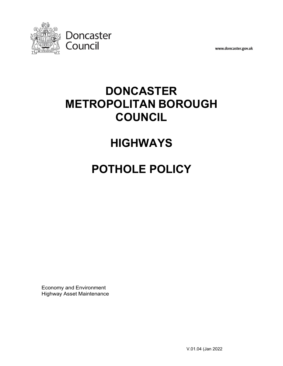

www.doncaster.gov.uk

# **DONCASTER METROPOLITAN BOROUGH COUNCIL**

# **HIGHWAYS**

# **POTHOLE POLICY**

Economy and Environment Highway Asset Maintenance

V.01.04 (Jan 2022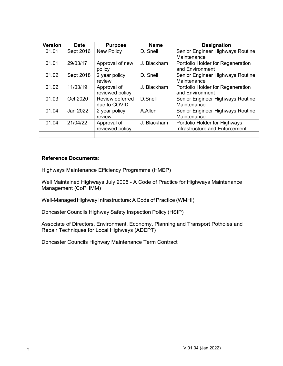| <b>Version</b> | <b>Date</b> | <b>Purpose</b>    | <b>Name</b> | <b>Designation</b>                |
|----------------|-------------|-------------------|-------------|-----------------------------------|
| 01.01          | Sept 2016   | <b>New Policy</b> | D. Snell    | Senior Engineer Highways Routine  |
|                |             |                   |             | Maintenance                       |
| 01.01          | 29/03/17    | Approval of new   | J. Blackham | Portfolio Holder for Regeneration |
|                |             | policy            |             | and Environment                   |
| 01.02          | Sept 2018   | 2 year policy     | D. Snell    | Senior Engineer Highways Routine  |
|                |             | review            |             | Maintenance                       |
| 01.02          | 11/03/19    | Approval of       | J. Blackham | Portfolio Holder for Regeneration |
|                |             | reviewed policy   |             | and Environment                   |
| 01.03          | Oct 2020    | Review deferred   | D.Snell     | Senior Engineer Highways Routine  |
|                |             | due to COVID      |             | Maintenance                       |
| 01.04          | Jan 2022    | 2 year policy     | A.Allen     | Senior Engineer Highways Routine  |
|                |             | review            |             | Maintenance                       |
| 01.04          | 21/04/22    | Approval of       | J. Blackham | Portfolio Holder for Highways     |
|                |             | reviewed policy   |             | Infrastructure and Enforcement    |
|                |             |                   |             |                                   |

#### **Reference Documents:**

Highways Maintenance Efficiency Programme (HMEP)

Well Maintained Highways July 2005 - A Code of Practice for Highways Maintenance Management (CoPHMM)

Well-Managed Highway Infrastructure:A Code of Practice (WMHI)

Doncaster Councils Highway Safety Inspection Policy (HSIP)

Associate of Directors, Environment, Economy, Planning and Transport Potholes and Repair Techniques for Local Highways (ADEPT)

Doncaster Councils Highway Maintenance Term Contract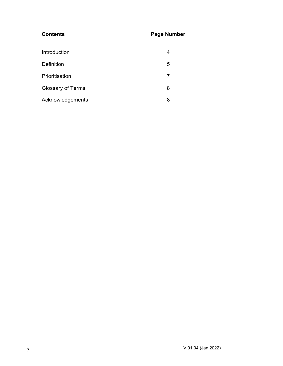### **Contents Page Number**

| Introduction             |   |
|--------------------------|---|
| Definition               | 5 |
| Prioritisation           | 7 |
| <b>Glossary of Terms</b> | 8 |
| Acknowledgements         | 8 |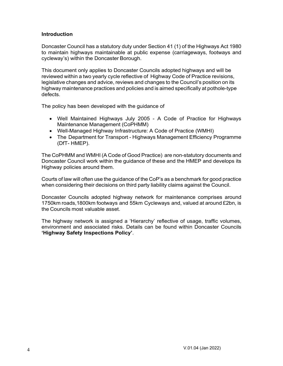#### **Introduction**

Doncaster Council has a statutory duty under Section 41 (1) of the Highways Act 1980 to maintain highways maintainable at public expense (carriageways, footways and cycleway's) within the Doncaster Borough.

This document only applies to Doncaster Councils adopted highways and will be reviewed within a two yearly cycle reflective of Highway Code of Practice revisions, legislative changes and advice, reviews and changes to the Council's position on its highway maintenance practices and policies and is aimed specifically at pothole-type defects.

The policy has been developed with the guidance of

- Well Maintained Highways July 2005 A Code of Practice for Highways Maintenance Management (CoPHMM)
- Well-Managed Highway Infrastructure: A Code of Practice (WMHI)
- The Department for Transport Highways Management Efficiency Programme (DfT- HMEP).

The CoPHMM and WMHI (A Code of Good Practice) are non-statutory documents and Doncaster Council work within the guidance of these and the HMEP and develops its Highway policies around them.

Courts of law will often use the guidance of the CoP's as a benchmark for good practice when considering their decisions on third party liability claims against the Council.

Doncaster Councils adopted highway network for maintenance comprises around 1750km roads,1800km footways and 55km Cycleways and, valued at around £2bn, is the Councils most valuable asset.

The highway network is assigned a 'Hierarchy' reflective of usage, traffic volumes, environment and associated risks. Details can be found within Doncaster Councils **'Highway Safety Inspections Policy'**.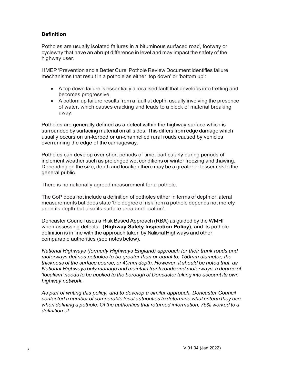#### **Definition**

Potholes are usually isolated failures in a bituminous surfaced road, footway or cycleway that have an abrupt difference in level and may impact the safety of the highway user.

HMEP 'Prevention and a Better Cure' Pothole Review Document identifies failure mechanisms that result in a pothole as either 'top down' or 'bottom up':

- A top down failure is essentially a localised fault that develops into fretting and becomes progressive.
- A bottom up failure results from a fault at depth, usually involving the presence of water, which causes cracking and leads to a block of material breaking away.

Potholes are generally defined as a defect within the highway surface which is surrounded by surfacing material on all sides. This differs from edge damage which usually occurs on un-kerbed or un-channelled rural roads caused by vehicles overrunning the edge of the carriageway.

Potholes can develop over short periods of time, particularly during periods of inclement weather such as prolonged wet conditions or winter freezing and thawing. Depending on the size, depth and location there may be a greater or lesser risk to the general public.

There is no nationally agreed measurement for a pothole.

The CoP does not include a definition of potholes either in terms of depth or lateral measurements but does state 'the degree of risk from a pothole depends not merely upon its depth but also its surface area andlocation'.

Doncaster Council uses a Risk Based Approach (RBA) as guided by the WMHI when assessing defects, (**Highway Safety Inspection Policy),** and its pothole definition is in line with the approach taken by National Highways and other comparable authorities (see notes below).

*National Highways (formerly Highways England) approach for their trunk roads and motorways defines potholes to be greater than or equal to; 150mm diameter; the thickness of the surface course; or 40mm depth. However, it should be noted that, as National Highways only manage and maintain trunk roads and motorways, a degree of 'localism' needs to be applied to the borough of Doncaster taking into account its own highway network.*

*As part of writing this policy, and to develop a similar approach, Doncaster Council contacted a number of comparable local authorities to determine what criteria they use when defining a pothole. Of the authorities that returned information, 75% worked to a definition of:*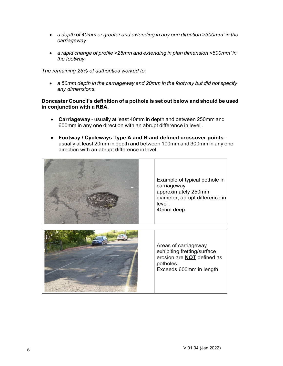- *a depth of 40mm or greater and extending in any one direction >300mm' in the carriageway.*
- *a rapid change of profile >25mm and extending in plan dimension <600mm' in the footway.*

*The remaining 25% of authorities worked to:*

• *a 50mm depth in the carriageway and 20mm in the footway but did not specify any dimensions.*

#### **Doncaster Council's definition of a pothole is set out below and should be used in conjunction with a RBA.**

- **Carriageway** usually at least 40mm in depth and between 250mm and 600mm in any one direction with an abrupt difference in level .
- **Footway / Cycleways Type A and B and defined crossover points**  usually at least 20mm in depth and between 100mm and 300mm in any one direction with an abrupt difference in level.

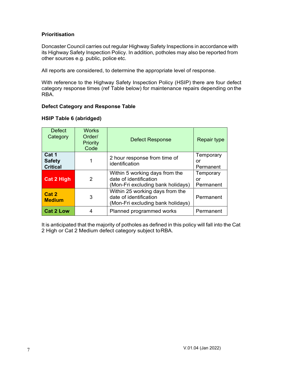#### **Prioritisation**

Doncaster Council carries out regular Highway Safety Inspections in accordance with its Highway Safety Inspection Policy. In addition, potholes may also be reported from other sources e.g. public, police etc.

All reports are considered, to determine the appropriate level of response.

With reference to the Highway Safety Inspection Policy (HSIP) there are four defect category response times (ref Table below) for maintenance repairs depending onthe RBA.

#### **Defect Category and Response Table**

#### **HSIP Table 6 (abridged)**

| <b>Defect</b><br>Category                 | <b>Works</b><br>Order/<br>Priority<br>Code | <b>Defect Response</b>                                                                         | <b>Repair type</b>           |
|-------------------------------------------|--------------------------------------------|------------------------------------------------------------------------------------------------|------------------------------|
| Cat 1<br><b>Safety</b><br><b>Critical</b> |                                            | 2 hour response from time of<br>identification                                                 | Temporary<br>or<br>Permanent |
| <b>Cat 2 High</b>                         | 2                                          | Within 5 working days from the<br>date of identification<br>(Mon-Fri excluding bank holidays)  | Temporary<br>or<br>Permanent |
| Cat 2<br><b>Medium</b>                    | 3                                          | Within 25 working days from the<br>date of identification<br>(Mon-Fri excluding bank holidays) | Permanent                    |
| <b>Cat 2 Low</b>                          | 4                                          | Planned programmed works                                                                       | Permanent                    |

It is anticipated that the majority of potholes as defined in this policy will fall into the Cat 2 High or Cat 2 Medium defect category subject toRBA.